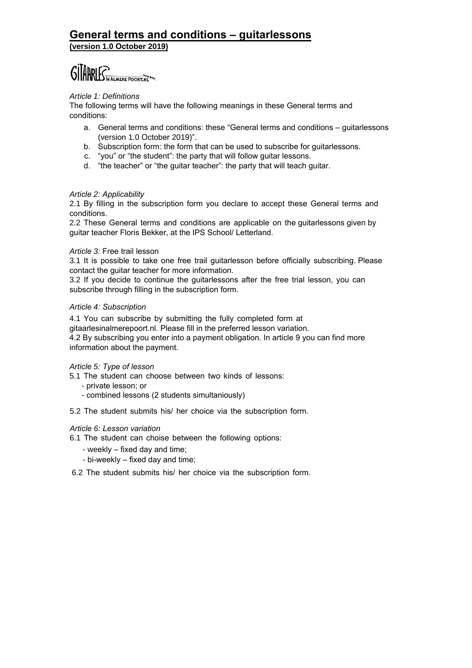# **General terms and conditions – guitarlessons (version 1.0 October 2019)**

# GITARLES IN ALMERE POORT. NE

# *Article 1: Definitions*

The following terms will have the following meanings in these General terms and conditions:

- a. General terms and conditions: these "General terms and conditions guitarlessons (version 1.0 October 2019)".
- b. Subscription form: the form that can be used to subscribe for guitarlessons.
- c. "you" or "the student": the party that will follow guitar lessons.
- d. "the teacher" or "the guitar teacher": the party that will teach guitar.

## *Article 2: Applicability*

2.1 By filling in the subscription form you declare to accept these General terms and conditions.

2.2 These General terms and conditions are applicable on the guitarlessons given by guitar teacher Floris Bekker, at the IPS School/ Letterland.

#### *Article 3:* Free trail lesson

3.1 It is possible to take one free trail guitarlesson before officially subscribing. Please contact the guitar teacher for more information.

3.2 If you decide to continue the guitarlessons after the free trial lesson, you can subscribe through filling in the subscription form.

#### *Article 4: Subscription*

4.1 You can subscribe by submitting the fully completed form at

gitaarlesinalmerepoort.nl. Please fill in the preferred lesson variation.

4.2 By subscribing you enter into a payment obligation. In article 9 you can find more information about the payment.

## *Article 5: Type of lesson*

- 5.1 The student can choose between two kinds of lessons:
	- private lesson; or
	- combined lessons (2 students simultaniously)

5.2 The student submits his/ her choice via the subscription form.

## *Article 6: Lesson variation*

- 6.1 The student can choise between the following options:
	- weekly fixed day and time;
	- bi-weekly fixed day and time;
- 6.2 The student submits his/ her choice via the subscription form.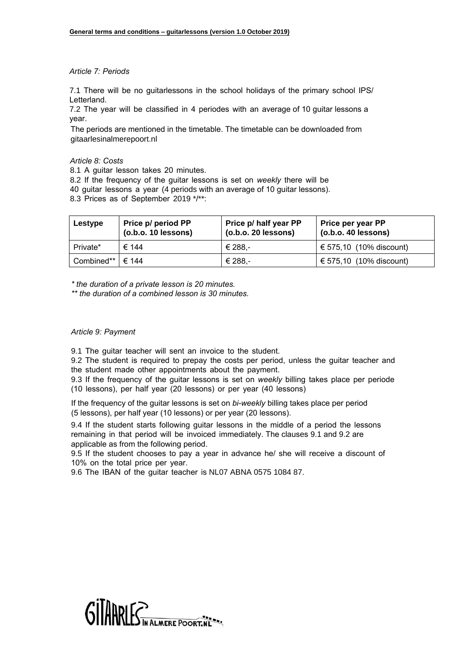#### *Article 7: Periods*

7.1 There will be no guitarlessons in the school holidays of the primary school IPS/ Letterland.

7.2 The year will be classified in 4 periodes with an average of 10 guitar lessons a year.

The periods are mentioned in the timetable. The timetable can be downloaded from gitaarlesinalmerepoort.nl

#### *Article 8: Costs*

8.1 A guitar lesson takes 20 minutes.

8.2 If the frequency of the guitar lessons is set on *weekly* there will be

40 guitar lessons a year (4 periods with an average of 10 guitar lessons).

8.3 Prices as of September 2019 \*/\*\*:

| Lestype              | Price p/ period PP<br>(o.b.o. 10 lessons) | Price p/ half year PP<br>$($ o.b.o. 20 lessons) | Price per year PP<br>$(0.b.o. 40$ lessons) |
|----------------------|-------------------------------------------|-------------------------------------------------|--------------------------------------------|
| Private*             | € 144                                     | € 288,-                                         | € 575,10 (10% discount)                    |
| Combined** $\in$ 144 |                                           | € 288,-                                         | € 575,10 (10% discount)                    |

*\* the duration of a private lesson is 20 minutes.*

*\*\* the duration of a combined lesson is 30 minutes.*

#### *Article 9: Payment*

9.1 The guitar teacher will sent an invoice to the student.

9.2 The student is required to prepay the costs per period, unless the guitar teacher and the student made other appointments about the payment.

9.3 If the frequency of the guitar lessons is set on *weekly* billing takes place per periode (10 lessons), per half year (20 lessons) or per year (40 lessons)

If the frequency of the guitar lessons is set on *bi-weekly* billing takes place per period (5 lessons), per half year (10 lessons) or per year (20 lessons).

9.4 If the student starts following guitar lessons in the middle of a period the lessons remaining in that period will be invoiced immediately. The clauses 9.1 and 9.2 are applicable as from the following period.

9.5 If the student chooses to pay a year in advance he/ she will receive a discount of 10% on the total price per year.

9.6 The IBAN of the guitar teacher is NL07 ABNA 0575 1084 87.